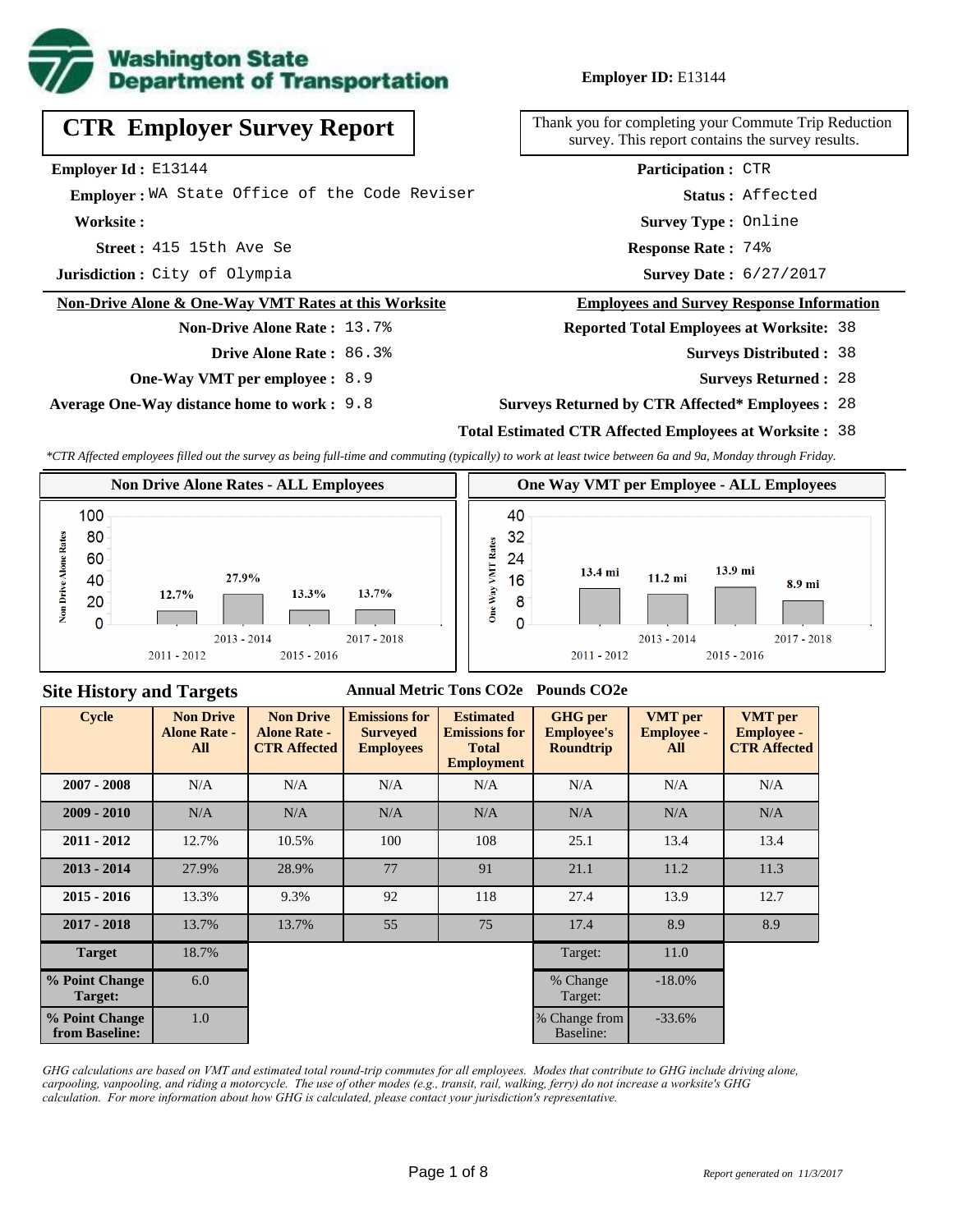

# **CTR Employer Survey Report**

**Employer Id :** E13144

 **Employer :** WA State Office of the Code Reviser

**Worksite :**

**Acception 3** 15th Ave Se **Response Rate :** 

**Jurisdiction :** City of Olympia

#### **Non-Drive Alone & One-Way VMT Rates at this Worksite**

**Non-Drive Alone Rate :** 13.7%

**Drive Alone Rate :** 86.3%

**One-Way VMT per employee :** 8.9

**Average One-Way distance home to work :** 9.8

Thank you for completing your Commute Trip Reduction survey. This report contains the survey results.

> **Status :** Affected **Participation :** CTR

**Survey Type :** Online

Response Rate: 74%

Survey Date: 6/27/2017

#### **Employees and Survey Response Information**

**Reported Total Employees at Worksite:** 38

- 38 **Surveys Distributed :**
	- **Surveys Returned :** 28

#### **Surveys Returned by CTR Affected\* Employees :** 28

## **Total Estimated CTR Affected Employees at Worksite :** 38

*\*CTR Affected employees filled out the survey as being full-time and commuting (typically) to work at least twice between 6a and 9a, Monday through Friday.*



## **Site History and Targets**

### **Annual Metric Tons CO2e Pounds CO2e**

| <b>Cycle</b>                     | <b>Non Drive</b><br><b>Alone Rate -</b><br>All | <b>Non Drive</b><br><b>Alone Rate -</b><br><b>CTR Affected</b> | <b>Emissions for</b><br><b>Surveyed</b><br><b>Employees</b> | <b>Estimated</b><br><b>Emissions for</b><br><b>Total</b><br><b>Employment</b> | <b>GHG</b> per<br><b>Employee's</b><br><b>Roundtrip</b> | <b>VMT</b> per<br><b>Employee -</b><br>All | <b>VMT</b> per<br><b>Employee -</b><br><b>CTR Affected</b> |
|----------------------------------|------------------------------------------------|----------------------------------------------------------------|-------------------------------------------------------------|-------------------------------------------------------------------------------|---------------------------------------------------------|--------------------------------------------|------------------------------------------------------------|
| $2007 - 2008$                    | N/A                                            | N/A                                                            | N/A                                                         | N/A                                                                           | N/A                                                     | N/A                                        | N/A                                                        |
| $2009 - 2010$                    | N/A                                            | N/A                                                            | N/A                                                         | N/A                                                                           | N/A                                                     | N/A                                        | N/A                                                        |
| $2011 - 2012$                    | 12.7%                                          | 10.5%                                                          | 100                                                         | 108                                                                           | 25.1                                                    | 13.4                                       | 13.4                                                       |
| $2013 - 2014$                    | 27.9%                                          | 28.9%                                                          | 77                                                          | 91                                                                            | 21.1                                                    | 11.2                                       | 11.3                                                       |
| $2015 - 2016$                    | 13.3%                                          | 9.3%                                                           | 92                                                          | 118                                                                           | 27.4                                                    | 13.9                                       | 12.7                                                       |
| $2017 - 2018$                    | 13.7%                                          | 13.7%                                                          | 55                                                          | 75                                                                            | 17.4                                                    | 8.9                                        | 8.9                                                        |
| <b>Target</b>                    | 18.7%                                          |                                                                |                                                             |                                                                               | Target:                                                 | 11.0                                       |                                                            |
| % Point Change<br>Target:        | 6.0                                            |                                                                |                                                             |                                                                               | % Change<br>Target:                                     | $-18.0\%$                                  |                                                            |
| % Point Change<br>from Baseline: | 1.0                                            |                                                                |                                                             |                                                                               | % Change from<br>Baseline:                              | $-33.6%$                                   |                                                            |

*GHG calculations are based on VMT and estimated total round-trip commutes for all employees. Modes that contribute to GHG include driving alone, carpooling, vanpooling, and riding a motorcycle. The use of other modes (e.g., transit, rail, walking, ferry) do not increase a worksite's GHG calculation. For more information about how GHG is calculated, please contact your jurisdiction's representative.*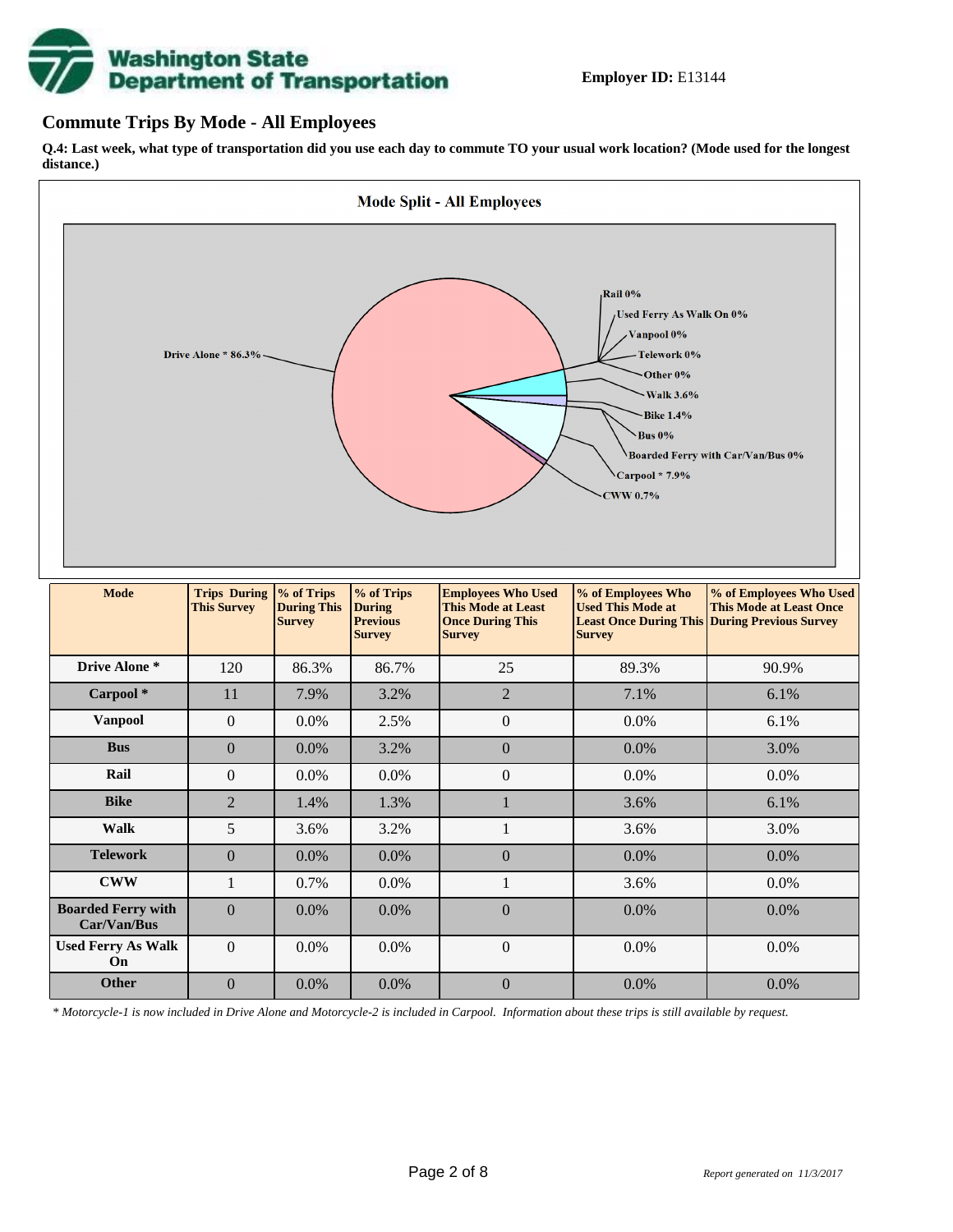# **Washington State<br>Department of Transportation**

## **Commute Trips By Mode - All Employees**

**Q.4: Last week, what type of transportation did you use each day to commute TO your usual work location? (Mode used for the longest distance.)**



*\* Motorcycle-1 is now included in Drive Alone and Motorcycle-2 is included in Carpool. Information about these trips is still available by request.*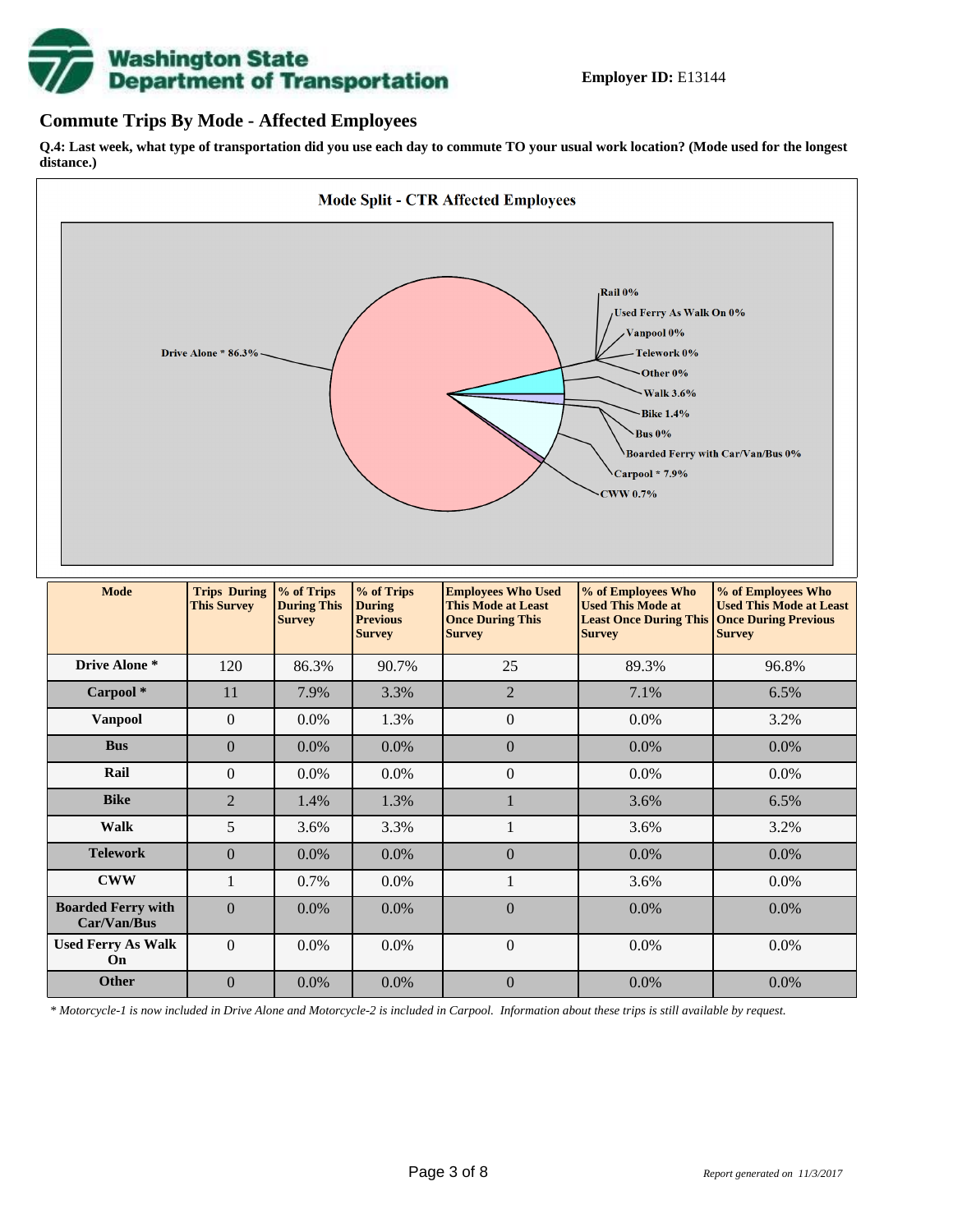

## **Commute Trips By Mode - Affected Employees**

**Q.4: Last week, what type of transportation did you use each day to commute TO your usual work location? (Mode used for the longest distance.)**



*\* Motorcycle-1 is now included in Drive Alone and Motorcycle-2 is included in Carpool. Information about these trips is still available by request.*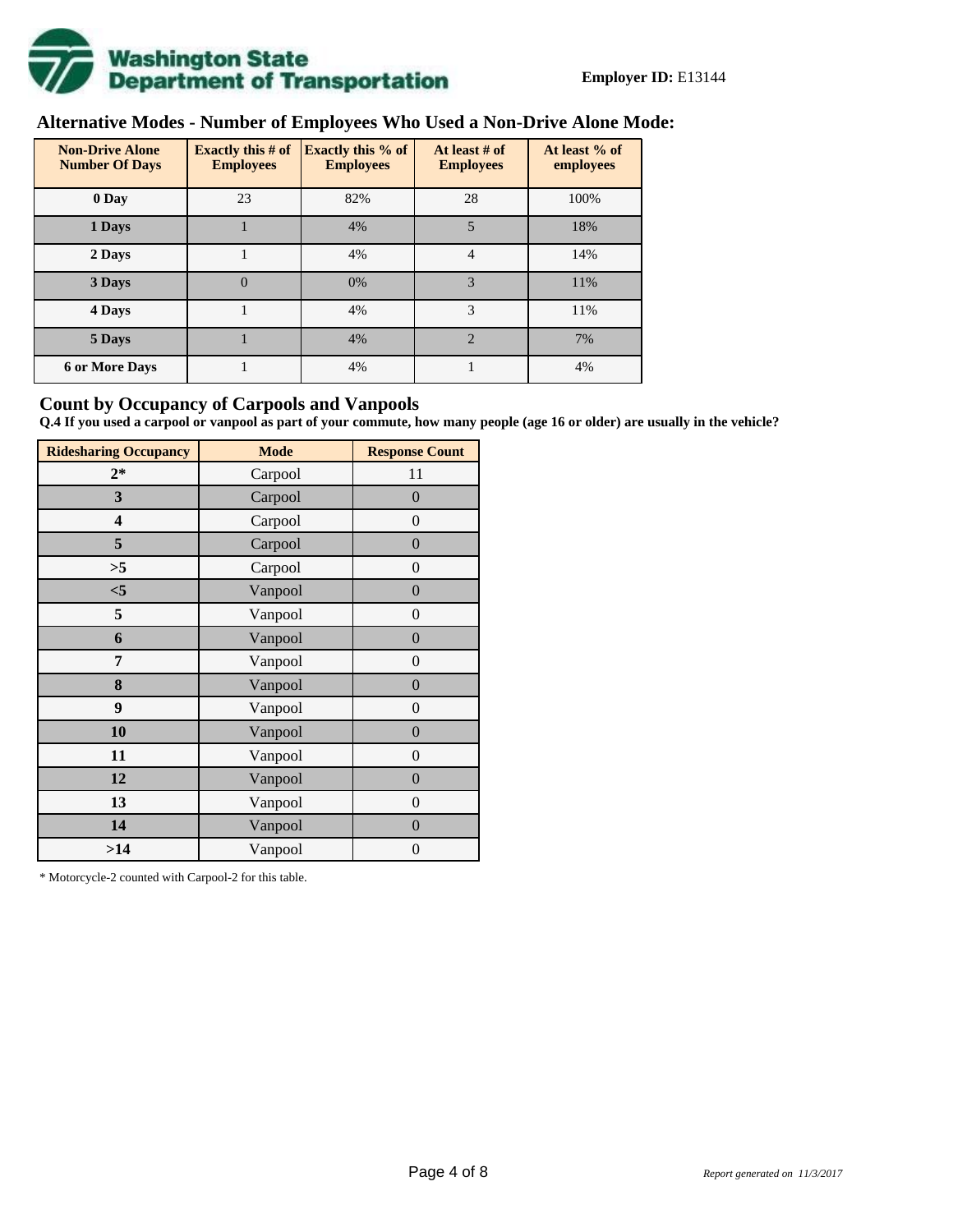

# **Alternative Modes - Number of Employees Who Used a Non-Drive Alone Mode:**

| <b>Non-Drive Alone</b><br><b>Number Of Days</b> | Exactly this $# of$<br><b>Employees</b> | <b>Exactly this % of</b><br><b>Employees</b> | At least # of<br><b>Employees</b> | At least % of<br>employees |  |  |
|-------------------------------------------------|-----------------------------------------|----------------------------------------------|-----------------------------------|----------------------------|--|--|
| 0 Day                                           | 23                                      | 82%                                          | 28                                | 100%                       |  |  |
| 1 Days                                          |                                         | 4%                                           | 5                                 | 18%                        |  |  |
| 2 Days                                          |                                         | 4%                                           | $\overline{4}$                    | 14%                        |  |  |
| 3 Days                                          | $\theta$                                | 0%                                           | 3                                 | 11%                        |  |  |
| 4 Days                                          |                                         | 4%                                           | 3                                 | 11%                        |  |  |
| 5 Days                                          |                                         | 4%                                           | $\overline{2}$                    | 7%                         |  |  |
| <b>6 or More Days</b>                           |                                         | 4%                                           |                                   | 4%                         |  |  |

## **Count by Occupancy of Carpools and Vanpools**

**Q.4 If you used a carpool or vanpool as part of your commute, how many people (age 16 or older) are usually in the vehicle?**

| <b>Ridesharing Occupancy</b> | <b>Mode</b> | <b>Response Count</b> |
|------------------------------|-------------|-----------------------|
| $2*$                         | Carpool     | 11                    |
| 3                            | Carpool     | $\overline{0}$        |
| 4                            | Carpool     | $\boldsymbol{0}$      |
| 5                            | Carpool     | $\boldsymbol{0}$      |
| >5                           | Carpool     | $\boldsymbol{0}$      |
| $<$ 5                        | Vanpool     | $\overline{0}$        |
| 5                            | Vanpool     | $\overline{0}$        |
| 6                            | Vanpool     | $\boldsymbol{0}$      |
| 7                            | Vanpool     | $\boldsymbol{0}$      |
| 8                            | Vanpool     | $\overline{0}$        |
| 9                            | Vanpool     | $\overline{0}$        |
| 10                           | Vanpool     | $\overline{0}$        |
| 11                           | Vanpool     | $\boldsymbol{0}$      |
| 12                           | Vanpool     | $\boldsymbol{0}$      |
| 13                           | Vanpool     | $\boldsymbol{0}$      |
| 14                           | Vanpool     | $\overline{0}$        |
| >14                          | Vanpool     | $\boldsymbol{0}$      |

\* Motorcycle-2 counted with Carpool-2 for this table.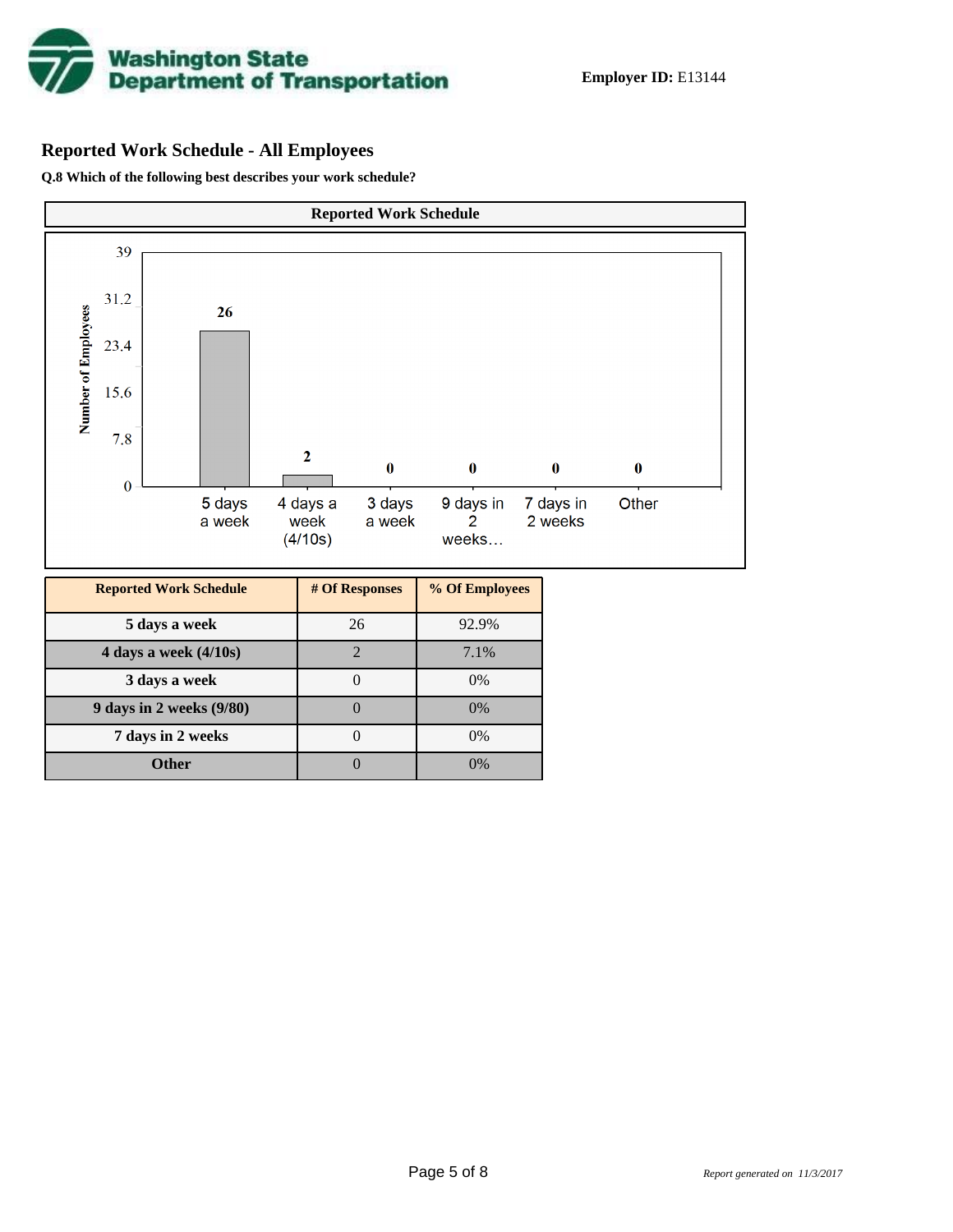

# **Reported Work Schedule - All Employees**

**Q.8 Which of the following best describes your work schedule?**

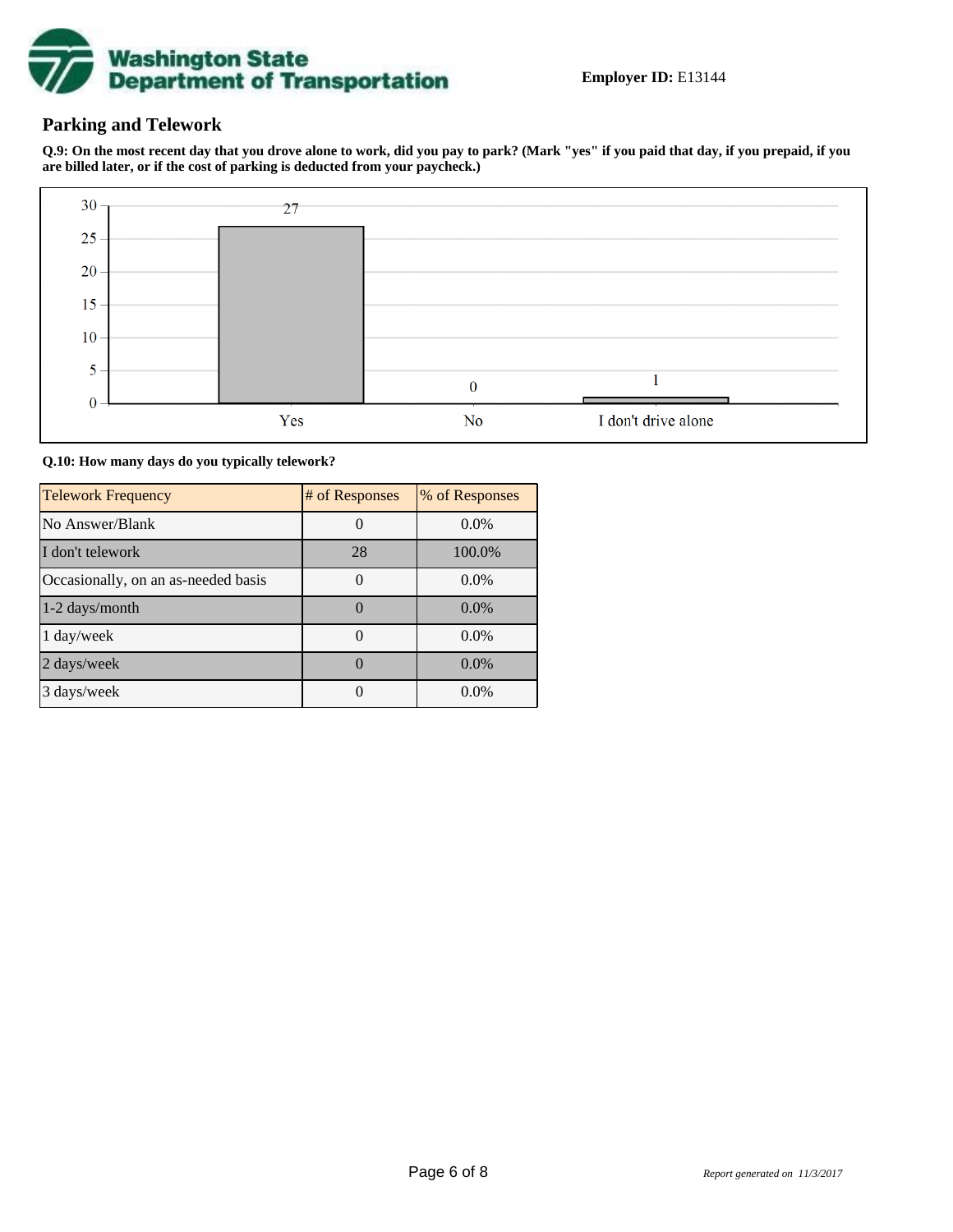

# **Parking and Telework**

**Q.9: On the most recent day that you drove alone to work, did you pay to park? (Mark "yes" if you paid that day, if you prepaid, if you are billed later, or if the cost of parking is deducted from your paycheck.)**



**Q.10: How many days do you typically telework?**

| <b>Telework Frequency</b>           | # of Responses | % of Responses |
|-------------------------------------|----------------|----------------|
| No Answer/Blank                     |                | $0.0\%$        |
| I don't telework                    | 28             | 100.0%         |
| Occasionally, on an as-needed basis |                | $0.0\%$        |
| 1-2 days/month                      |                | $0.0\%$        |
| 1 day/week                          |                | $0.0\%$        |
| 2 days/week                         |                | $0.0\%$        |
| 3 days/week                         |                | $0.0\%$        |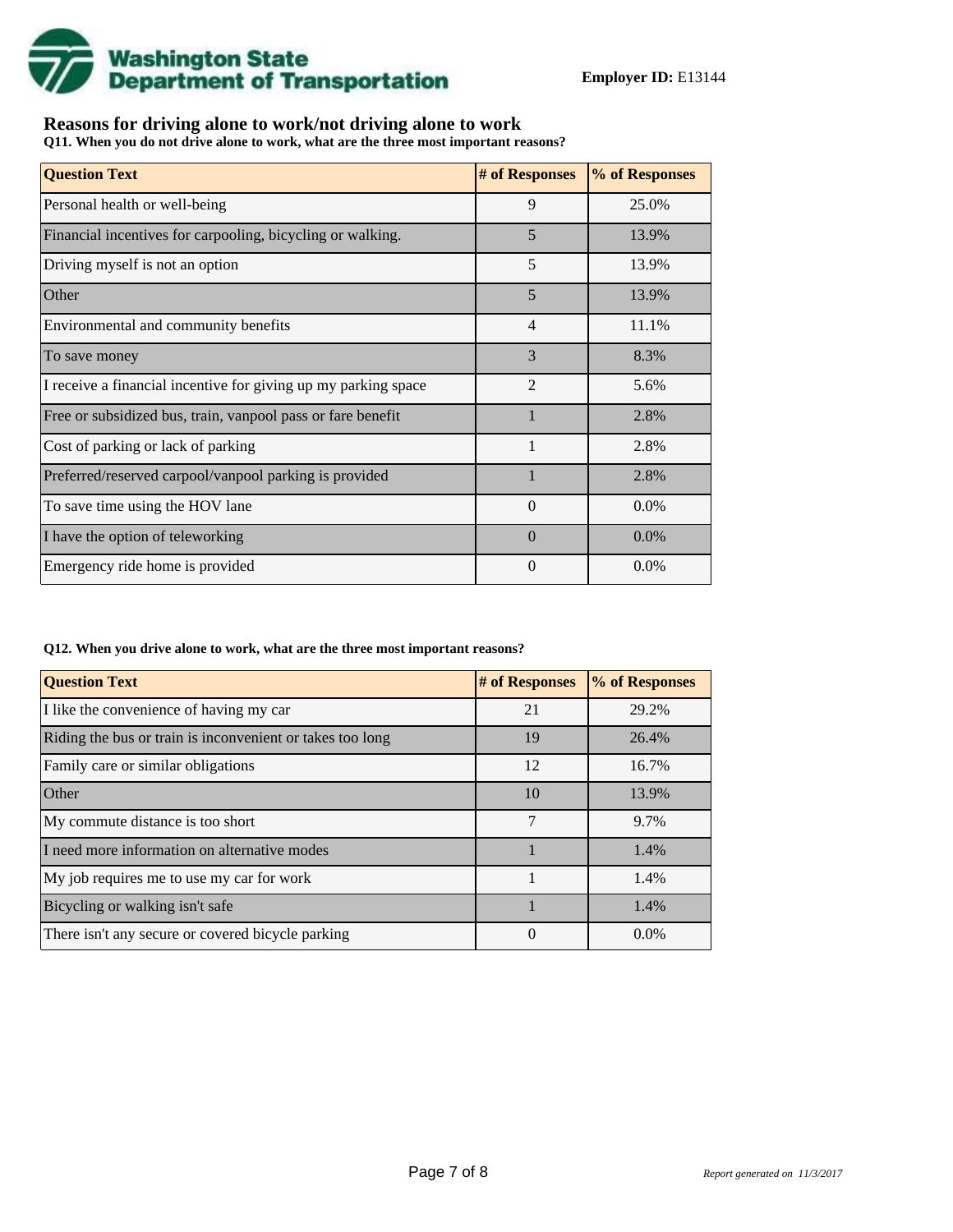

# **Reasons for driving alone to work/not driving alone to work**

**Q11. When you do not drive alone to work, what are the three most important reasons?**

| <b>Question Text</b>                                           | # of Responses | % of Responses |
|----------------------------------------------------------------|----------------|----------------|
| Personal health or well-being                                  | 9              | 25.0%          |
| Financial incentives for carpooling, bicycling or walking.     | 5              | 13.9%          |
| Driving myself is not an option                                | 5              | 13.9%          |
| Other                                                          | 5              | 13.9%          |
| Environmental and community benefits                           | 4              | 11.1%          |
| To save money                                                  | 3              | 8.3%           |
| I receive a financial incentive for giving up my parking space | $\overline{2}$ | 5.6%           |
| Free or subsidized bus, train, vanpool pass or fare benefit    | $\mathbf{1}$   | 2.8%           |
| Cost of parking or lack of parking                             | $\mathbf{1}$   | 2.8%           |
| Preferred/reserved carpool/vanpool parking is provided         |                | 2.8%           |
| To save time using the HOV lane                                | $\Omega$       | 0.0%           |
| I have the option of teleworking                               | $\Omega$       | 0.0%           |
| Emergency ride home is provided                                | $\Omega$       | 0.0%           |

#### **Q12. When you drive alone to work, what are the three most important reasons?**

| <b>Question Text</b>                                      | # of Responses | % of Responses |
|-----------------------------------------------------------|----------------|----------------|
| I like the convenience of having my car                   | 21             | 29.2%          |
| Riding the bus or train is inconvenient or takes too long | 19             | 26.4%          |
| Family care or similar obligations                        | 12             | 16.7%          |
| Other                                                     | 10             | 13.9%          |
| My commute distance is too short                          | 7              | 9.7%           |
| I need more information on alternative modes              |                | 1.4%           |
| My job requires me to use my car for work                 |                | 1.4%           |
| Bicycling or walking isn't safe                           |                | 1.4%           |
| There isn't any secure or covered bicycle parking         | 0              | $0.0\%$        |